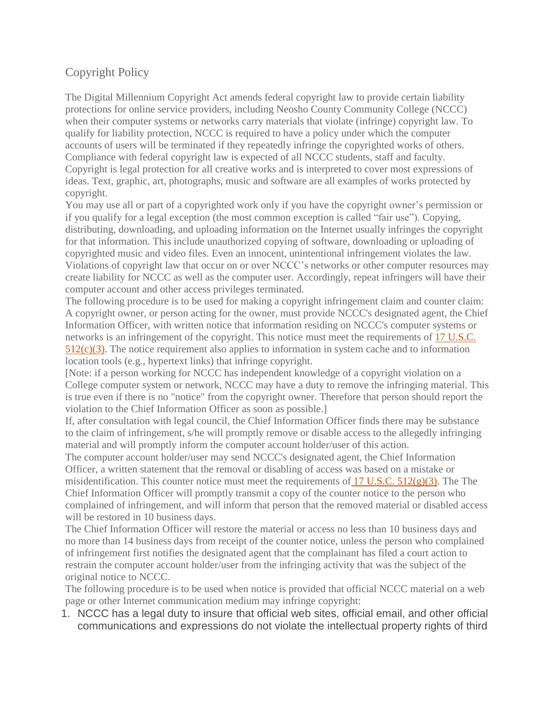## Copyright Policy

The Digital Millennium Copyright Act amends federal copyright law to provide certain liability protections for online service providers, including Neosho County Community College (NCCC) when their computer systems or networks carry materials that violate (infringe) copyright law. To qualify for liability protection, NCCC is required to have a policy under which the computer accounts of users will be terminated if they repeatedly infringe the copyrighted works of others. Compliance with federal copyright law is expected of all NCCC students, staff and faculty. Copyright is legal protection for all creative works and is interpreted to cover most expressions of ideas. Text, graphic, art, photographs, music and software are all examples of works protected by copyright.

You may use all or part of a copyrighted work only if you have the copyright owner's permission or if you qualify for a legal exception (the most common exception is called "fair use"). Copying, distributing, downloading, and uploading information on the Internet usually infringes the copyright for that information. This include unauthorized copying of software, downloading or uploading of copyrighted music and video files. Even an innocent, unintentional infringement violates the law. Violations of copyright law that occur on or over NCCC's networks or other computer resources may create liability for NCCC as well as the computer user. Accordingly, repeat infringers will have their computer account and other access privileges terminated.

The following procedure is to be used for making a copyright infringement claim and counter claim: A copyright owner, or person acting for the owner, must provide NCCC's designated agent, the Chief Information Officer, with written notice that information residing on NCCC's computer systems or networks is an infringement of the copyright. This notice must meet the requirements of 17 [U.S.C.](http://www.copyright.gov/title17/92chap5.html#512)  $512(c)(3)$ . The notice requirement also applies to information in system cache and to information location tools (e.g., hypertext links) that infringe copyright.

[Note: if a person working for NCCC has independent knowledge of a copyright violation on a College computer system or network, NCCC may have a duty to remove the infringing material. This is true even if there is no "notice" from the copyright owner. Therefore that person should report the violation to the Chief Information Officer as soon as possible.]

If, after consultation with legal council, the Chief Information Officer finds there may be substance to the claim of infringement, s/he will promptly remove or disable access to the allegedly infringing material and will promptly inform the computer account holder/user of this action.

The computer account holder/user may send NCCC's designated agent, the Chief Information Officer, a written statement that the removal or disabling of access was based on a mistake or misidentification. This counter notice must meet the requirements of 17 U.S.C.  $512(g)(3)$ . The The Chief Information Officer will promptly transmit a copy of the counter notice to the person who complained of infringement, and will inform that person that the removed material or disabled access will be restored in 10 business days.

The Chief Information Officer will restore the material or access no less than 10 business days and no more than 14 business days from receipt of the counter notice, unless the person who complained of infringement first notifies the designated agent that the complainant has filed a court action to restrain the computer account holder/user from the infringing activity that was the subject of the original notice to NCCC.

The following procedure is to be used when notice is provided that official NCCC material on a web page or other Internet communication medium may infringe copyright:

1. NCCC has a legal duty to insure that official web sites, official email, and other official communications and expressions do not violate the intellectual property rights of third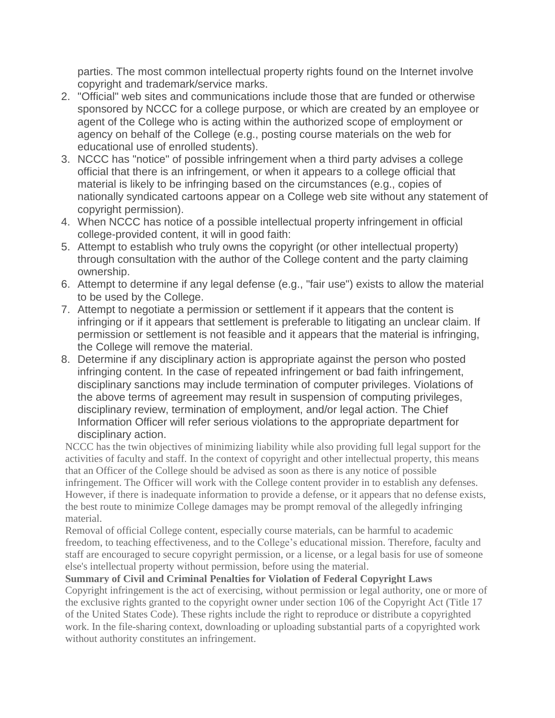parties. The most common intellectual property rights found on the Internet involve copyright and trademark/service marks.

- 2. "Official" web sites and communications include those that are funded or otherwise sponsored by NCCC for a college purpose, or which are created by an employee or agent of the College who is acting within the authorized scope of employment or agency on behalf of the College (e.g., posting course materials on the web for educational use of enrolled students).
- 3. NCCC has "notice" of possible infringement when a third party advises a college official that there is an infringement, or when it appears to a college official that material is likely to be infringing based on the circumstances (e.g., copies of nationally syndicated cartoons appear on a College web site without any statement of copyright permission).
- 4. When NCCC has notice of a possible intellectual property infringement in official college-provided content, it will in good faith:
- 5. Attempt to establish who truly owns the copyright (or other intellectual property) through consultation with the author of the College content and the party claiming ownership.
- 6. Attempt to determine if any legal defense (e.g., "fair use") exists to allow the material to be used by the College.
- 7. Attempt to negotiate a permission or settlement if it appears that the content is infringing or if it appears that settlement is preferable to litigating an unclear claim. If permission or settlement is not feasible and it appears that the material is infringing, the College will remove the material.
- 8. Determine if any disciplinary action is appropriate against the person who posted infringing content. In the case of repeated infringement or bad faith infringement, disciplinary sanctions may include termination of computer privileges. Violations of the above terms of agreement may result in suspension of computing privileges, disciplinary review, termination of employment, and/or legal action. The Chief Information Officer will refer serious violations to the appropriate department for disciplinary action.

NCCC has the twin objectives of minimizing liability while also providing full legal support for the activities of faculty and staff. In the context of copyright and other intellectual property, this means that an Officer of the College should be advised as soon as there is any notice of possible infringement. The Officer will work with the College content provider in to establish any defenses. However, if there is inadequate information to provide a defense, or it appears that no defense exists, the best route to minimize College damages may be prompt removal of the allegedly infringing material.

Removal of official College content, especially course materials, can be harmful to academic freedom, to teaching effectiveness, and to the College's educational mission. Therefore, faculty and staff are encouraged to secure copyright permission, or a license, or a legal basis for use of someone else's intellectual property without permission, before using the material.

## **Summary of Civil and Criminal Penalties for Violation of Federal Copyright Laws**

Copyright infringement is the act of exercising, without permission or legal authority, one or more of the exclusive rights granted to the copyright owner under section 106 of the Copyright Act (Title 17 of the United States Code). These rights include the right to reproduce or distribute a copyrighted work. In the file-sharing context, downloading or uploading substantial parts of a copyrighted work without authority constitutes an infringement.